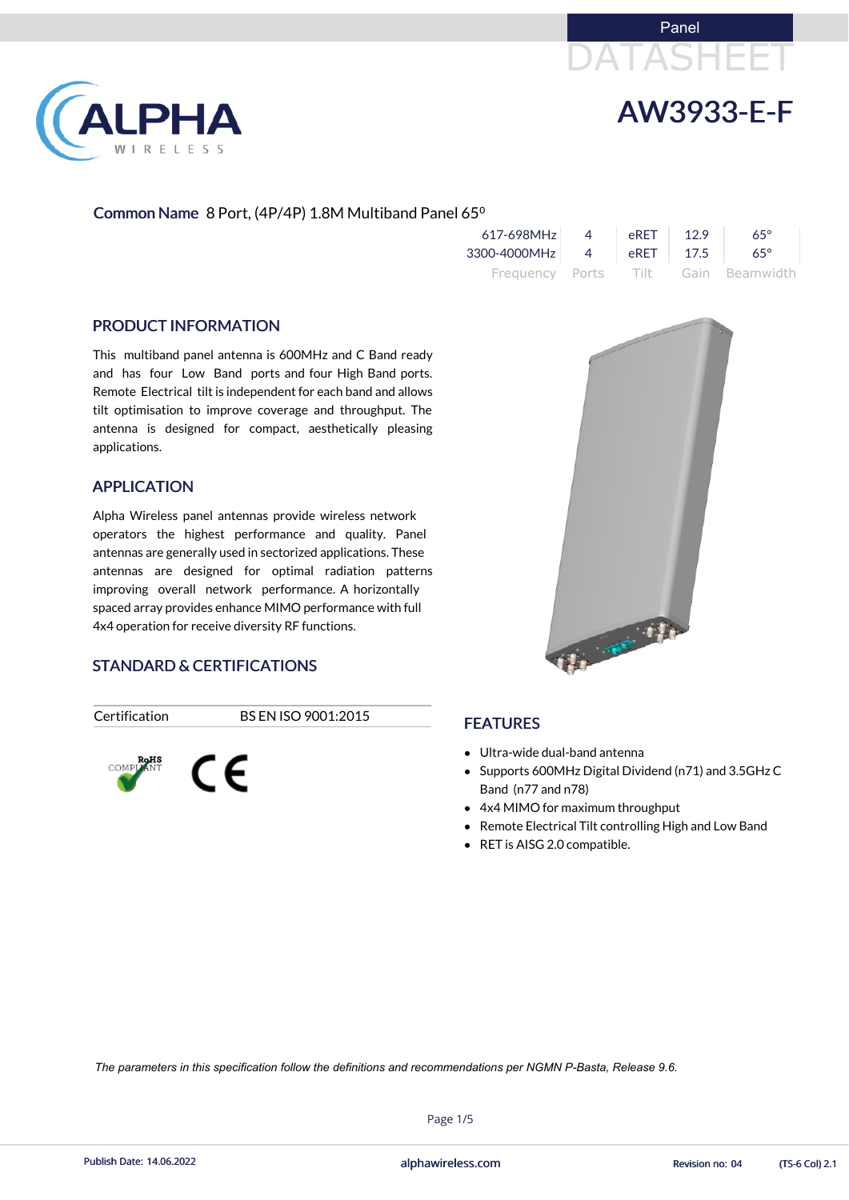



### Common Name 8 Port, (4P/4P) 1.8M Multiband Panel 65<sup>o</sup>

| 617-698MHz               | $\overline{4}$ | eRET | 12.9 | $65^\circ$                          |
|--------------------------|----------------|------|------|-------------------------------------|
| 3300-4000MHz 4 eRET 17.5 |                |      |      | $65^\circ$                          |
|                          |                |      |      | Frequency Ports Tilt Gain Beamwidth |

#### PRODUCT INFORMATION

LPHA

RELESS

This multiband panel antenna is 600MHz and C Band ready and has four Low Band ports and four High Band ports. Remote Electrical tilt is independent for each band and allows tilt optimisation to improve coverage and throughput. The antenna is designed for compact, aesthetically pleasing applications.

- Ultra-wide dual-band antenna
- Supports 600MHz Digital Dividend (n71) and 3.5GHz C Band (n77 and n78)
- 4x4 MIMO for maximum throughput
- Remote Electrical Tilt controlling High and Low Band
- RET is AISG 2.0 compatible.

#### APPLICATION

Alpha Wireless panel antennas provide wireless network operators the highest performance and quality. Panel antennas are generally used in sectorized applications. These antennas are designed for optimal radiation patterns improving overall network performance. A horizontally spaced array provides enhance MIMO performance with full 4x4 operation for receive diversity RF functions.

### STANDARD & CERTIFICATIONS

Certification BS EN ISO 9001:2015





## FEATURES

Page 1/5

Publish Date: 14.06.2022 **Exercise Service Service Cole 2.1** alphawireless.com **Revision no: 04** (TS-6 Col) 2.1

*The parameters in this specification follow the definitions and recommendations per NGMN P-Basta, Release 9.6.*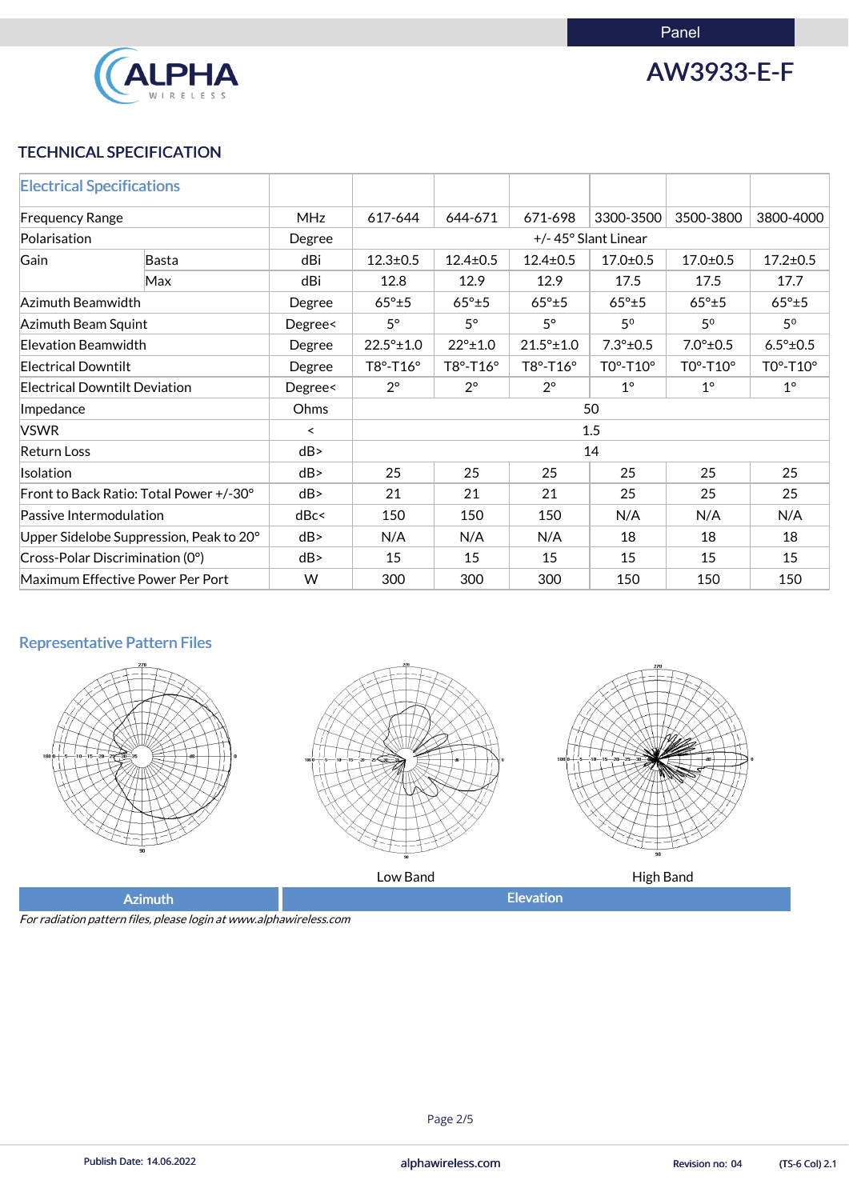Panel



AW3933-E-F

## TECHNICAL SPECIFICATION

| <b>Electrical Specifications</b>        |       |            |                     |                   |                     |                    |                              |                    |  |
|-----------------------------------------|-------|------------|---------------------|-------------------|---------------------|--------------------|------------------------------|--------------------|--|
| <b>Frequency Range</b>                  |       | <b>MHz</b> | 617-644             | 644-671           | 671-698             | 3300-3500          | 3500-3800                    | 3800-4000          |  |
| Polarisation                            |       | Degree     | +/-45° Slant Linear |                   |                     |                    |                              |                    |  |
| Gain                                    | Basta | dBi        | $12.3 \pm 0.5$      | $12.4 \pm 0.5$    | $12.4 \pm 0.5$      | $17.0 \pm 0.5$     | $17.0 \pm 0.5$               | $17.2 \pm 0.5$     |  |
|                                         | Max   | dBi        | 12.8                | 12.9              | 12.9                | 17.5               | 17.5                         | 17.7               |  |
| Azimuth Beamwidth                       |       | Degree     | $65^\circ \pm 5$    | $65^\circ \pm 5$  | $65^\circ \pm 5$    | $65^\circ \pm 5$   | $65^\circ \pm 5$             | $65^\circ \pm 5$   |  |
| Azimuth Beam Squint                     |       | Degree<    | $5^\circ$           | $5^\circ$         | $5^\circ$           | 50                 | 50                           | 5 <sup>0</sup>     |  |
| <b>Elevation Beamwidth</b>              |       | Degree     | $22.5^{\circ}$ ±1.0 | $22^{\circ}$ ±1.0 | $21.5^{\circ}$ ±1.0 | $7.3^{\circ}$ ±0.5 | $7.0^{\circ}$ ±0.5           | $6.5^{\circ}$ ±0.5 |  |
| <b>Electrical Downtilt</b>              |       | Degree     | T8°-T16°            | $T8° - T16°$      | T8°-T16°            | $TO°-T10°$         | $TO^{\circ}$ -T10 $^{\circ}$ | T0°-T10°           |  |
| <b>Electrical Downtilt Deviation</b>    |       | Degree<    | $2^{\circ}$         | $2^{\circ}$       | $2^{\circ}$         | $1^{\circ}$        | $1^{\circ}$                  | $1^\circ$          |  |
| Impedance                               |       | Ohms       | 50                  |                   |                     |                    |                              |                    |  |
| <b>VSWR</b>                             |       | $\prec$    | 1.5                 |                   |                     |                    |                              |                    |  |
| <b>Return Loss</b>                      | dB    | 14         |                     |                   |                     |                    |                              |                    |  |
| Isolation                               |       | dB         | 25                  | 25                | 25                  | 25                 | 25                           | 25                 |  |
| Front to Back Ratio: Total Power +/-30° |       | dB         | 21                  | 21                | 21                  | 25                 | 25                           | 25                 |  |
| Passive Intermodulation                 |       | dBc<       | 150                 | 150               | 150                 | N/A                | N/A                          | N/A                |  |
| Upper Sidelobe Suppression, Peak to 20° |       | dB         | N/A                 | N/A               | N/A                 | 18                 | 18                           | 18                 |  |
| Cross-Polar Discrimination (0°)         |       | dB         | 15                  | 15                | 15                  | 15                 | 15                           | 15                 |  |
| Maximum Effective Power Per Port        |       | W          | 300                 | 300               | 300                 | 150                | 150                          | 150                |  |

## Representative Pattern Files







Low Band **All Community Community** Equation High Band

Azimuth **Elevation** 

For radiation pattern files, please login at www.alphawireless.com

## Page 2/5

Publish Date: 14.06.2022 **Exercise Service Service Cole 2.1** alphawireless.com **Revision no: 04** (TS-6 Col) 2.1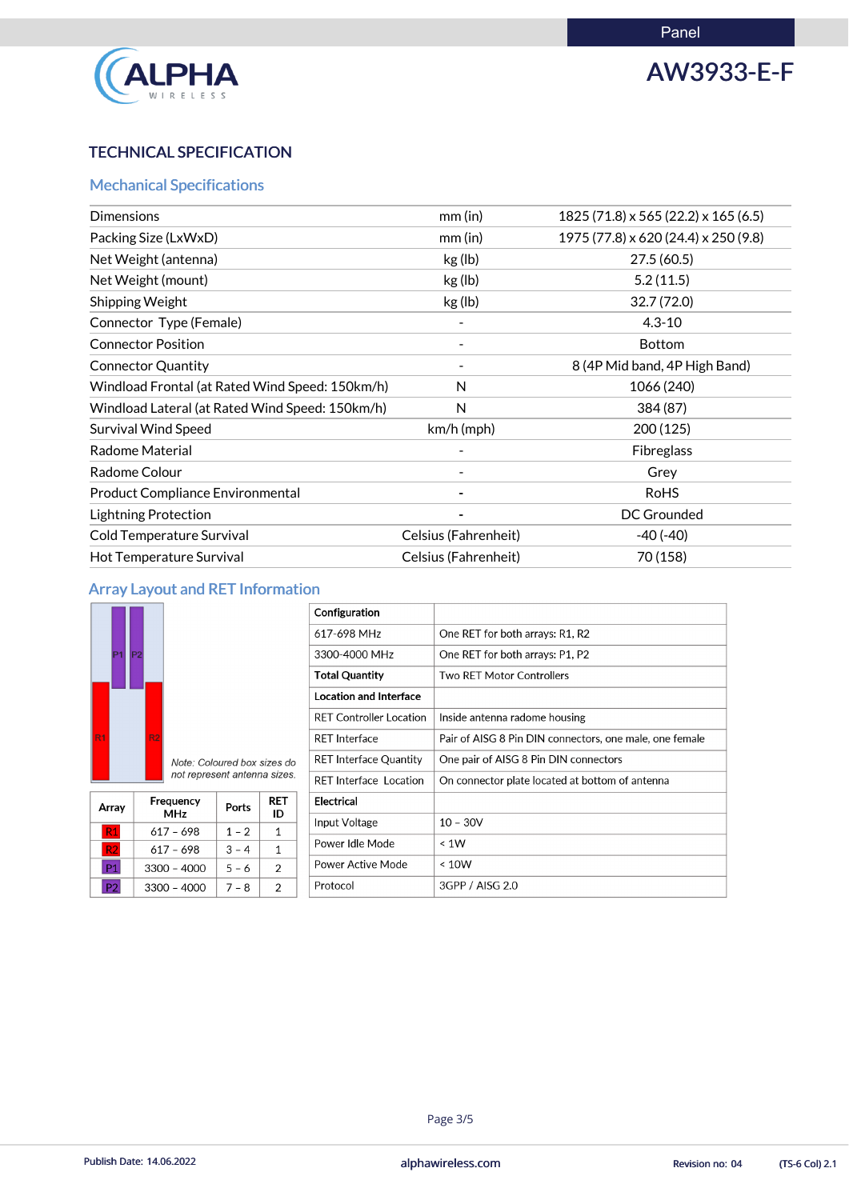

# AW3933-E-F

## TECHNICAL SPECIFICATION

## Mechanical Specifications

| <b>Dimensions</b>                               | $mm$ (in)            | 1825 (71.8) x 565 (22.2) x 165 (6.5) |
|-------------------------------------------------|----------------------|--------------------------------------|
| Packing Size (LxWxD)                            | $mm$ (in)            | 1975 (77.8) x 620 (24.4) x 250 (9.8) |
| Net Weight (antenna)                            | kg (lb)              | 27.5(60.5)                           |
| Net Weight (mount)                              | kg (lb)              | 5.2(11.5)                            |
| Shipping Weight                                 | kg (lb)              | 32.7(72.0)                           |
| Connector Type (Female)                         |                      | $4.3 - 10$                           |
| <b>Connector Position</b>                       |                      | <b>Bottom</b>                        |
| <b>Connector Quantity</b>                       |                      | 8 (4P Mid band, 4P High Band)        |
| Windload Frontal (at Rated Wind Speed: 150km/h) | N                    | 1066 (240)                           |
| Windload Lateral (at Rated Wind Speed: 150km/h) | N                    | 384 (87)                             |
| <b>Survival Wind Speed</b>                      | $km/h$ (mph)         | 200(125)                             |
| <b>Radome Material</b>                          |                      | <b>Fibreglass</b>                    |
| Radome Colour                                   |                      | Grey                                 |
| <b>Product Compliance Environmental</b>         |                      | <b>RoHS</b>                          |
| <b>Lightning Protection</b>                     |                      | <b>DC Grounded</b>                   |
| Cold Temperature Survival                       | Celsius (Fahrenheit) | $-40(-40)$                           |
| Hot Temperature Survival                        | Celsius (Fahrenheit) | 70 (158)                             |

## Array Layout and RET Information

|                | P2 |                |                                                             |
|----------------|----|----------------|-------------------------------------------------------------|
| R <sub>1</sub> |    | R <sub>2</sub> |                                                             |
|                |    |                | Note: Coloured box sizes do<br>not represent antenna sizes. |

| Array          | Frequency<br><b>MHz</b> | Ports   | <b>RET</b><br>ID |
|----------------|-------------------------|---------|------------------|
| R <sub>1</sub> | $617 - 698$             | $1 - 2$ |                  |
| R <sub>2</sub> | 617 – 698               | $3 - 4$ |                  |
| P <sub>1</sub> | $3300 - 4000$           | $5 - 6$ | 2                |
| P <sub>2</sub> | $3300 - 4000$           | $7 - 8$ | 2                |
|                |                         |         |                  |

| Configuration                  |                                                         |
|--------------------------------|---------------------------------------------------------|
| 617-698 MHz                    | One RET for both arrays: R1, R2                         |
| 3300-4000 MHz                  | One RET for both arrays: P1, P2                         |
| <b>Total Quantity</b>          | <b>Two RET Motor Controllers</b>                        |
| <b>Location and Interface</b>  |                                                         |
| <b>RET Controller Location</b> | Inside antenna radome housing                           |
| <b>RET Interface</b>           | Pair of AISG 8 Pin DIN connectors, one male, one female |
| <b>RET Interface Quantity</b>  | One pair of AISG 8 Pin DIN connectors                   |
| <b>RET Interface Location</b>  | On connector plate located at bottom of antenna         |
| <b>Electrical</b>              |                                                         |
| Input Voltage                  | $10 - 30V$                                              |
| Power Idle Mode                | $\leq 1W$                                               |
| <b>Power Active Mode</b>       | < 10W                                                   |
| Protocol                       | 3GPP / AISG 2.0                                         |

#### Page 3/5

Publish Date: 14.06.2022 **Exercise Service Service Cole 2.1** alphawireless.com **Revision no: 04** (TS-6 Col) 2.1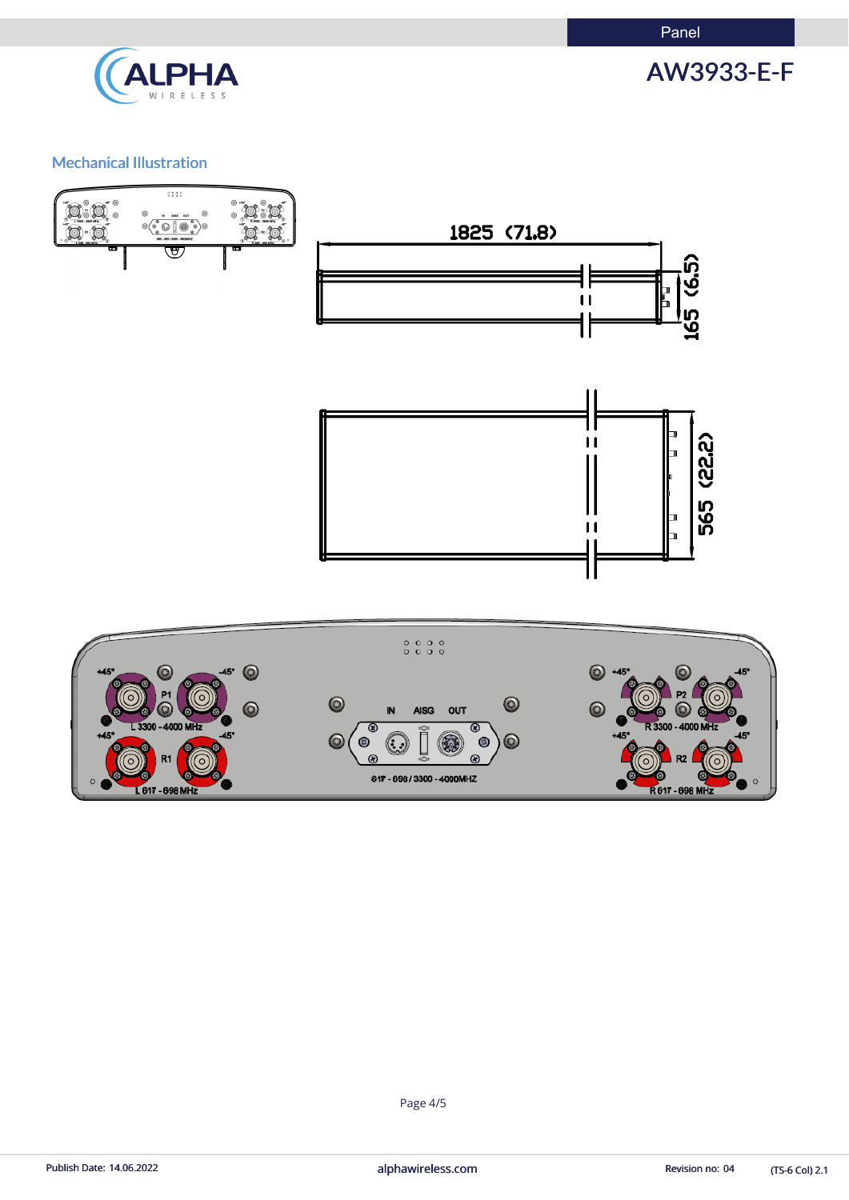Panel



AW3933-E-F

## Mechanical Illustration



(TS-6 Col) 2.1

Page 4/5

Publish Date: 14.06.2022 **alphawireless.com** and a series and a series of the Revision no: 04